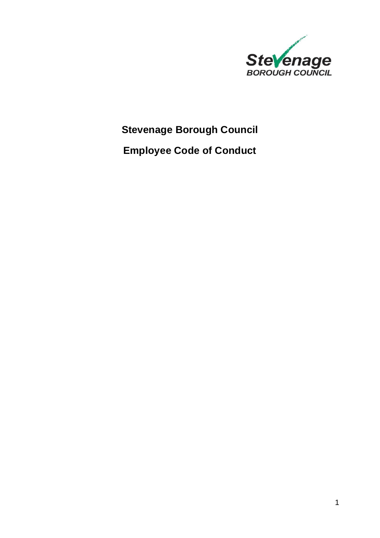

# **Stevenage Borough Council**

**Employee Code of Conduct**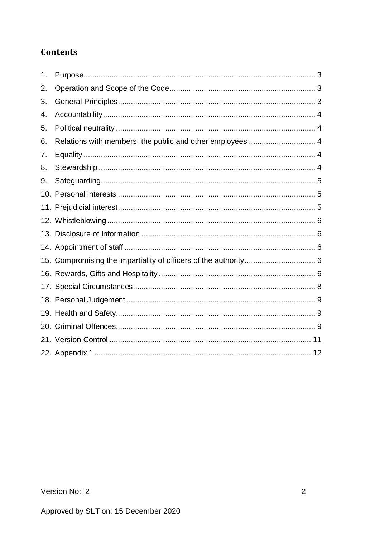# **Contents**

| 1. |                                                           |
|----|-----------------------------------------------------------|
| 2. |                                                           |
| 3. |                                                           |
| 4. |                                                           |
| 5. |                                                           |
| 6. | Relations with members, the public and other employees  4 |
| 7. |                                                           |
| 8. |                                                           |
| 9. |                                                           |
|    |                                                           |
|    |                                                           |
|    |                                                           |
|    |                                                           |
|    |                                                           |
|    |                                                           |
|    |                                                           |
|    |                                                           |
|    |                                                           |
|    |                                                           |
|    |                                                           |
|    |                                                           |
|    |                                                           |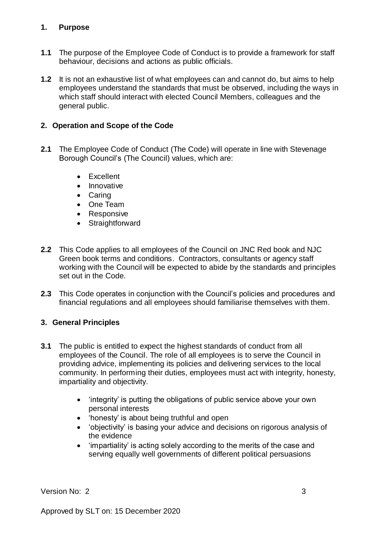#### <span id="page-2-0"></span>**1. Purpose**

- **1.1** The purpose of the Employee Code of Conduct is to provide a framework for staff behaviour, decisions and actions as public officials.
- **1.2** It is not an exhaustive list of what employees can and cannot do, but aims to help employees understand the standards that must be observed, including the ways in which staff should interact with elected Council Members, colleagues and the general public.

#### <span id="page-2-1"></span>**2. Operation and Scope of the Code**

- **2.1** The Employee Code of Conduct (The Code) will operate in line with Stevenage Borough Council's (The Council) values, which are:
	- Excellent
	- Innovative
	- Caring
	- One Team
	- Responsive
	- Straightforward
- **2.2** This Code applies to all employees of the Council on JNC Red book and NJC Green book terms and conditions. Contractors, consultants or agency staff working with the Council will be expected to abide by the standards and principles set out in the Code.
- **2.3** This Code operates in conjunction with the Council's policies and procedures and financial regulations and all employees should familiarise themselves with them.

# <span id="page-2-2"></span>**3. General Principles**

- **3.1** The public is entitled to expect the highest standards of conduct from all employees of the Council. The role of all employees is to serve the Council in providing advice, implementing its policies and delivering services to the local community. In performing their duties, employees must act with integrity, honesty, impartiality and objectivity.
	- 'integrity' is putting the obligations of public service above your own personal interests
	- 'honesty' is about being truthful and open
	- 'objectivity' is basing your advice and decisions on rigorous analysis of the evidence
	- 'impartiality' is acting solely according to the merits of the case and serving equally well governments of different political persuasions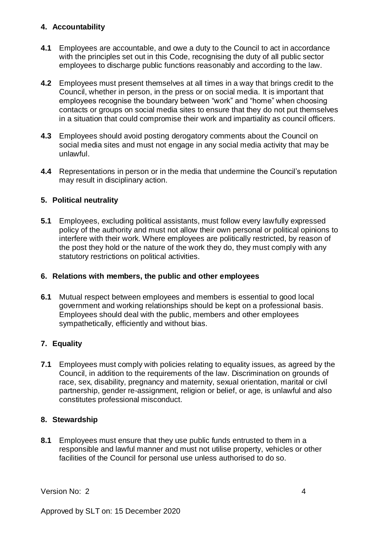#### <span id="page-3-0"></span>**4. Accountability**

- **4.1** Employees are accountable, and owe a duty to the Council to act in accordance with the principles set out in this Code, recognising the duty of all public sector employees to discharge public functions reasonably and according to the law.
- **4.2** Employees must present themselves at all times in a way that brings credit to the Council, whether in person, in the press or on social media. It is important that employees recognise the boundary between "work" and "home" when choosing contacts or groups on social media sites to ensure that they do not put themselves in a situation that could compromise their work and impartiality as council officers.
- **4.3** Employees should avoid posting derogatory comments about the Council on social media sites and must not engage in any social media activity that may be unlawful.
- **4.4** Representations in person or in the media that undermine the Council's reputation may result in disciplinary action.

# <span id="page-3-1"></span>**5. Political neutrality**

**5.1** Employees, excluding political assistants, must follow every lawfully expressed policy of the authority and must not allow their own personal or political opinions to interfere with their work. Where employees are politically restricted, by reason of the post they hold or the nature of the work they do, they must comply with any statutory restrictions on political activities.

#### <span id="page-3-2"></span>**6. Relations with members, the public and other employees**

**6.1** Mutual respect between employees and members is essential to good local government and working relationships should be kept on a professional basis. Employees should deal with the public, members and other employees sympathetically, efficiently and without bias.

# <span id="page-3-3"></span>**7. Equality**

**7.1** Employees must comply with policies relating to equality issues, as agreed by the Council, in addition to the requirements of the law. Discrimination on grounds of race, sex, disability, pregnancy and maternity, sexual orientation, marital or civil partnership, gender re-assignment, religion or belief, or age, is unlawful and also constitutes professional misconduct.

#### <span id="page-3-4"></span>**8. Stewardship**

**8.1** Employees must ensure that they use public funds entrusted to them in a responsible and lawful manner and must not utilise property, vehicles or other facilities of the Council for personal use unless authorised to do so.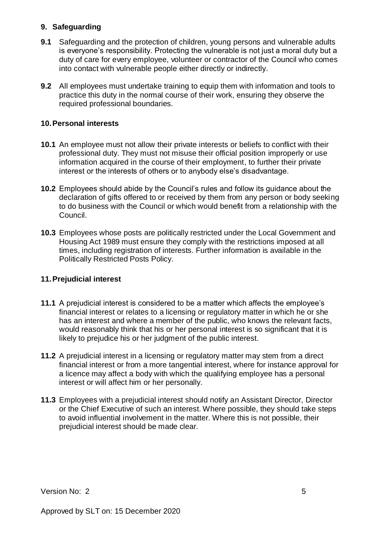#### <span id="page-4-0"></span>**9. Safeguarding**

- **9.1** Safeguarding and the protection of children, young persons and vulnerable adults is everyone's responsibility. Protecting the vulnerable is not just a moral duty but a duty of care for every employee, volunteer or contractor of the Council who comes into contact with vulnerable people either directly or indirectly.
- **9.2** All employees must undertake training to equip them with information and tools to practice this duty in the normal course of their work, ensuring they observe the required professional boundaries.

#### <span id="page-4-1"></span>**10. Personal interests**

- **10.1** An employee must not allow their private interests or beliefs to conflict with their professional duty. They must not misuse their official position improperly or use information acquired in the course of their employment, to further their private interest or the interests of others or to anybody else's disadvantage.
- **10.2** Employees should abide by the Council's rules and follow its guidance about the declaration of gifts offered to or received by them from any person or body seeking to do business with the Council or which would benefit from a relationship with the Council.
- **10.3** Employees whose posts are politically restricted under the Local Government and Housing Act 1989 must ensure they comply with the restrictions imposed at all times, including registration of interests. Further information is available in the Politically Restricted Posts Policy.

#### <span id="page-4-2"></span>**11. Prejudicial interest**

- **11.1** A prejudicial interest is considered to be a matter which affects the employee's financial interest or relates to a licensing or regulatory matter in which he or she has an interest and where a member of the public, who knows the relevant facts, would reasonably think that his or her personal interest is so significant that it is likely to prejudice his or her judgment of the public interest.
- **11.2** A prejudicial interest in a licensing or regulatory matter may stem from a direct financial interest or from a more tangential interest, where for instance approval for a licence may affect a body with which the qualifying employee has a personal interest or will affect him or her personally.
- **11.3** Employees with a prejudicial interest should notify an Assistant Director, Director or the Chief Executive of such an interest. Where possible, they should take steps to avoid influential involvement in the matter. Where this is not possible, their prejudicial interest should be made clear.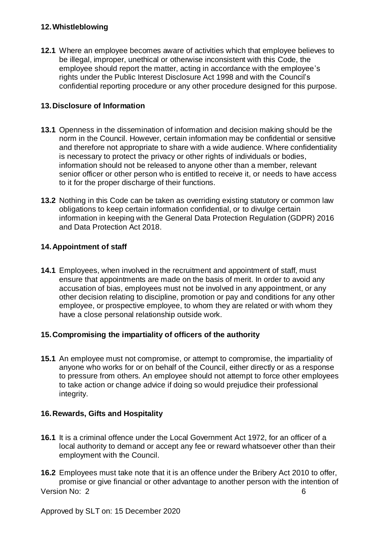#### <span id="page-5-0"></span>**12. Whistleblowing**

**12.1** Where an employee becomes aware of activities which that employee believes to be illegal, improper, unethical or otherwise inconsistent with this Code, the employee should report the matter, acting in accordance with the employee's rights under the Public Interest Disclosure Act 1998 and with the Council's confidential reporting procedure or any other procedure designed for this purpose.

#### <span id="page-5-1"></span>**13. Disclosure of Information**

- **13.1** Openness in the dissemination of information and decision making should be the norm in the Council. However, certain information may be confidential or sensitive and therefore not appropriate to share with a wide audience. Where confidentiality is necessary to protect the privacy or other rights of individuals or bodies, information should not be released to anyone other than a member, relevant senior officer or other person who is entitled to receive it, or needs to have access to it for the proper discharge of their functions.
- **13.2** Nothing in this Code can be taken as overriding existing statutory or common law obligations to keep certain information confidential, or to divulge certain information in keeping with the General Data Protection Regulation (GDPR) 2016 and Data Protection Act 2018.

#### <span id="page-5-2"></span>**14. Appointment of staff**

**14.1** Employees, when involved in the recruitment and appointment of staff, must ensure that appointments are made on the basis of merit. In order to avoid any accusation of bias, employees must not be involved in any appointment, or any other decision relating to discipline, promotion or pay and conditions for any other employee, or prospective employee, to whom they are related or with whom they have a close personal relationship outside work.

#### <span id="page-5-3"></span>**15. Compromising the impartiality of officers of the authority**

**15.1** An employee must not compromise, or attempt to compromise, the impartiality of anyone who works for or on behalf of the Council, either directly or as a response to pressure from others. An employee should not attempt to force other employees to take action or change advice if doing so would prejudice their professional integrity.

#### <span id="page-5-4"></span>**16. Rewards, Gifts and Hospitality**

**16.1** It is a criminal offence under the Local Government Act 1972, for an officer of a local authority to demand or accept any fee or reward whatsoever other than their employment with the Council.

Version No: 2 6 **16.2** Employees must take note that it is an offence under the Bribery Act 2010 to offer, promise or give financial or other advantage to another person with the intention of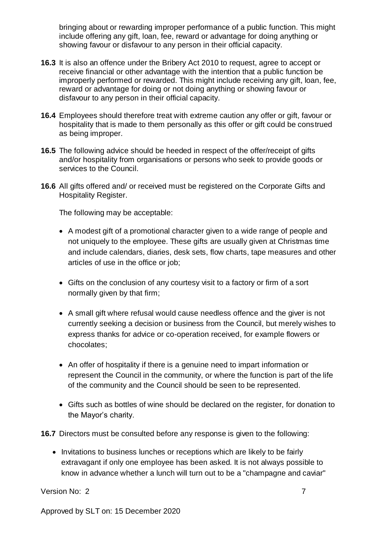bringing about or rewarding improper performance of a public function. This might include offering any gift, loan, fee, reward or advantage for doing anything or showing favour or disfavour to any person in their official capacity.

- **16.3** It is also an offence under the Bribery Act 2010 to request, agree to accept or receive financial or other advantage with the intention that a public function be improperly performed or rewarded. This might include receiving any gift, loan, fee, reward or advantage for doing or not doing anything or showing favour or disfavour to any person in their official capacity.
- **16.4** Employees should therefore treat with extreme caution any offer or gift, favour or hospitality that is made to them personally as this offer or gift could be construed as being improper.
- **16.5** The following advice should be heeded in respect of the offer/receipt of gifts and/or hospitality from organisations or persons who seek to provide goods or services to the Council.
- **16.6** All gifts offered and/ or received must be registered on the Corporate Gifts and Hospitality Register.

The following may be acceptable:

- A modest gift of a promotional character given to a wide range of people and not uniquely to the employee. These gifts are usually given at Christmas time and include calendars, diaries, desk sets, flow charts, tape measures and other articles of use in the office or job;
- Gifts on the conclusion of any courtesy visit to a factory or firm of a sort normally given by that firm;
- A small gift where refusal would cause needless offence and the giver is not currently seeking a decision or business from the Council, but merely wishes to express thanks for advice or co-operation received, for example flowers or chocolates;
- An offer of hospitality if there is a genuine need to impart information or represent the Council in the community, or where the function is part of the life of the community and the Council should be seen to be represented.
- Gifts such as bottles of wine should be declared on the register, for donation to the Mayor's charity.
- **16.7** Directors must be consulted before any response is given to the following:
	- Invitations to business lunches or receptions which are likely to be fairly extravagant if only one employee has been asked. It is not always possible to know in advance whether a lunch will turn out to be a "champagne and caviar"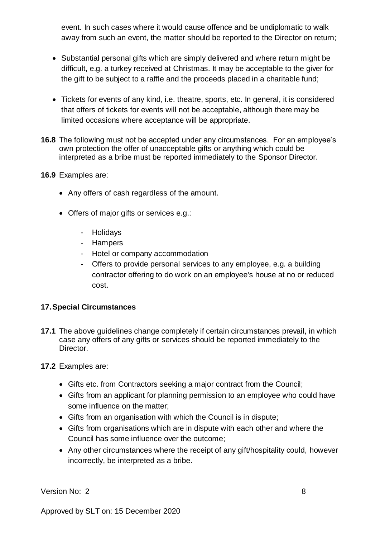event. In such cases where it would cause offence and be undiplomatic to walk away from such an event, the matter should be reported to the Director on return;

- Substantial personal gifts which are simply delivered and where return might be difficult, e.g. a turkey received at Christmas. It may be acceptable to the giver for the gift to be subject to a raffle and the proceeds placed in a charitable fund;
- Tickets for events of any kind, i.e. theatre, sports, etc. In general, it is considered that offers of tickets for events will not be acceptable, although there may be limited occasions where acceptance will be appropriate.
- **16.8** The following must not be accepted under any circumstances. For an employee's own protection the offer of unacceptable gifts or anything which could be interpreted as a bribe must be reported immediately to the Sponsor Director.
- **16.9** Examples are:
	- Any offers of cash regardless of the amount.
	- Offers of major gifts or services e.g.:
		- Holidays
		- Hampers
		- Hotel or company accommodation
		- Offers to provide personal services to any employee, e.g. a building contractor offering to do work on an employee's house at no or reduced cost.

# <span id="page-7-0"></span>**17. Special Circumstances**

- **17.1** The above guidelines change completely if certain circumstances prevail, in which case any offers of any gifts or services should be reported immediately to the Director.
- **17.2** Examples are:
	- Gifts etc. from Contractors seeking a major contract from the Council;
	- Gifts from an applicant for planning permission to an employee who could have some influence on the matter;
	- Gifts from an organisation with which the Council is in dispute;
	- Gifts from organisations which are in dispute with each other and where the Council has some influence over the outcome;
	- Any other circumstances where the receipt of any gift/hospitality could, however incorrectly, be interpreted as a bribe.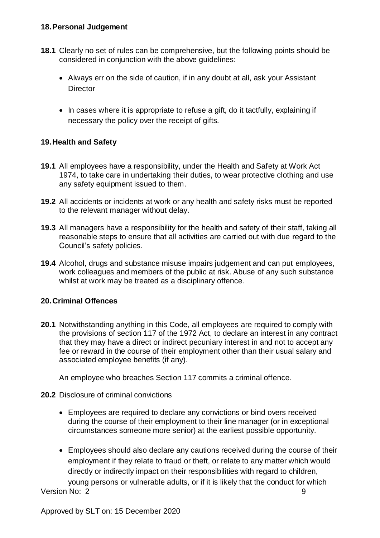#### <span id="page-8-0"></span>**18. Personal Judgement**

- **18.1** Clearly no set of rules can be comprehensive, but the following points should be considered in conjunction with the above guidelines:
	- Always err on the side of caution, if in any doubt at all, ask your Assistant **Director**
	- In cases where it is appropriate to refuse a gift, do it tactfully, explaining if necessary the policy over the receipt of gifts.

### <span id="page-8-1"></span>**19. Health and Safety**

- **19.1** All employees have a responsibility, under the Health and Safety at Work Act 1974, to take care in undertaking their duties, to wear protective clothing and use any safety equipment issued to them.
- **19.2** All accidents or incidents at work or any health and safety risks must be reported to the relevant manager without delay.
- **19.3** All managers have a responsibility for the health and safety of their staff, taking all reasonable steps to ensure that all activities are carried out with due regard to the Council's safety policies.
- **19.4** Alcohol, drugs and substance misuse impairs judgement and can put employees, work colleagues and members of the public at risk. Abuse of any such substance whilst at work may be treated as a disciplinary offence.

#### <span id="page-8-2"></span>**20. Criminal Offences**

**20.1** Notwithstanding anything in this Code, all employees are required to comply with the provisions of section 117 of the 1972 Act, to declare an interest in any contract that they may have a direct or indirect pecuniary interest in and not to accept any fee or reward in the course of their employment other than their usual salary and associated employee benefits (if any).

An employee who breaches Section 117 commits a criminal offence.

- **20.2** Disclosure of criminal convictions
	- Employees are required to declare any convictions or bind overs received during the course of their employment to their line manager (or in exceptional circumstances someone more senior) at the earliest possible opportunity.
	- Employees should also declare any cautions received during the course of their employment if they relate to fraud or theft, or relate to any matter which would directly or indirectly impact on their responsibilities with regard to children, young persons or vulnerable adults, or if it is likely that the conduct for which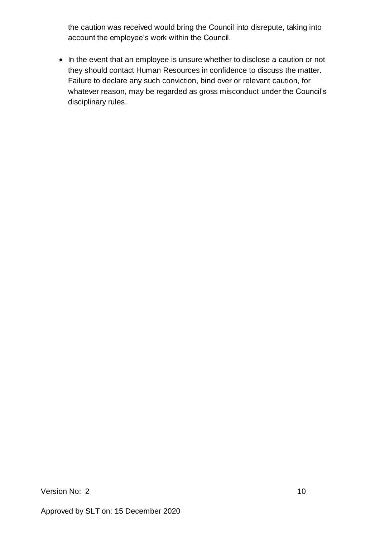the caution was received would bring the Council into disrepute, taking into account the employee's work within the Council.

• In the event that an employee is unsure whether to disclose a caution or not they should contact Human Resources in confidence to discuss the matter. Failure to declare any such conviction, bind over or relevant caution, for whatever reason, may be regarded as gross misconduct under the Council's disciplinary rules.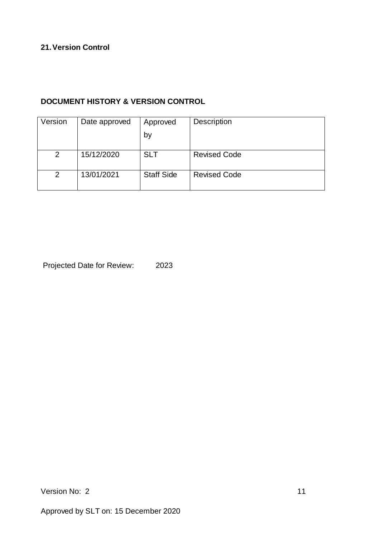# <span id="page-10-0"></span>**21. Version Control**

# **DOCUMENT HISTORY & VERSION CONTROL**

| Version        | Date approved | Approved          | <b>Description</b>  |
|----------------|---------------|-------------------|---------------------|
|                |               | by                |                     |
|                |               |                   |                     |
| 2              | 15/12/2020    | <b>SLT</b>        | <b>Revised Code</b> |
|                |               |                   |                     |
| $\overline{2}$ | 13/01/2021    | <b>Staff Side</b> | <b>Revised Code</b> |
|                |               |                   |                     |

Projected Date for Review: 2023

Version No: 2 11

Approved by SLT on: 15 December 2020